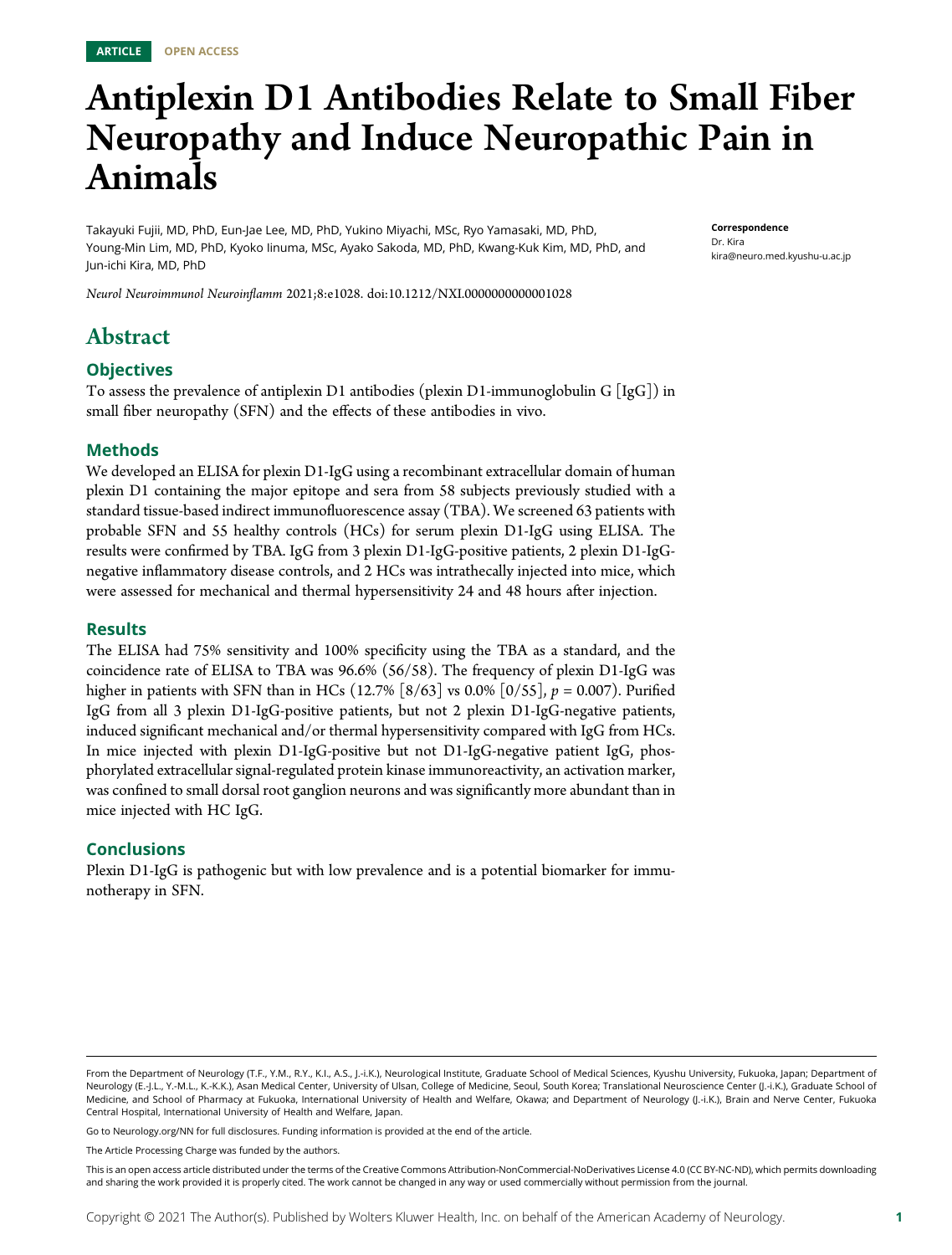# Antiplexin D1 Antibodies Relate to Small Fiber Neuropathy and Induce Neuropathic Pain in Animals

Takayuki Fujii, MD, PhD, Eun-Jae Lee, MD, PhD, Yukino Miyachi, MSc, Ryo Yamasaki, MD, PhD, Young-Min Lim, MD, PhD, Kyoko Iinuma, MSc, Ayako Sakoda, MD, PhD, Kwang-Kuk Kim, MD, PhD, and Jun-ichi Kira, MD, PhD

Neurol Neuroimmunol Neuroinflamm 2021;8:e1028. doi[:10.1212/NXI.0000000000001028](http://dx.doi.org/10.1212/NXI.0000000000001028)

# Abstract

#### **Objectives**

To assess the prevalence of antiplexin D1 antibodies (plexin D1-immunoglobulin G  $\lfloor \lg G \rfloor$ ) in small fiber neuropathy (SFN) and the effects of these antibodies in vivo.

#### Methods

We developed an ELISA for plexin D1-IgG using a recombinant extracellular domain of human plexin D1 containing the major epitope and sera from 58 subjects previously studied with a standard tissue-based indirect immunofluorescence assay (TBA). We screened 63 patients with probable SFN and 55 healthy controls (HCs) for serum plexin D1-IgG using ELISA. The results were confirmed by TBA. IgG from 3 plexin D1-IgG-positive patients, 2 plexin D1-IgGnegative inflammatory disease controls, and 2 HCs was intrathecally injected into mice, which were assessed for mechanical and thermal hypersensitivity 24 and 48 hours after injection.

#### Results

The ELISA had 75% sensitivity and 100% specificity using the TBA as a standard, and the coincidence rate of ELISA to TBA was 96.6% (56/58). The frequency of plexin D1-IgG was higher in patients with SFN than in HCs (12.7% [8/63] vs 0.0% [0/55],  $p = 0.007$ ). Purified IgG from all 3 plexin D1-IgG-positive patients, but not 2 plexin D1-IgG-negative patients, induced significant mechanical and/or thermal hypersensitivity compared with IgG from HCs. In mice injected with plexin D1-IgG-positive but not D1-IgG-negative patient IgG, phosphorylated extracellular signal-regulated protein kinase immunoreactivity, an activation marker, was confined to small dorsal root ganglion neurons and was significantly more abundant than in mice injected with HC IgG.

#### **Conclusions**

Plexin D1-IgG is pathogenic but with low prevalence and is a potential biomarker for immunotherapy in SFN.

Go to [Neurology.org/NN](https://nn.neurology.org/content/8/4/e1028/tab-article-info) for full disclosures. Funding information is provided at the end of the article.

The Article Processing Charge was funded by the authors.

This is an open access article distributed under the terms of the [Creative Commons Attribution-NonCommercial-NoDerivatives License 4.0 \(CC BY-NC-ND\),](http://creativecommons.org/licenses/by-nc-nd/4.0/) which permits downloading and sharing the work provided it is properly cited. The work cannot be changed in any way or used commercially without permission from the journal.

Correspondence Dr. Kira [kira@neuro.med.kyushu-u.ac.jp](mailto:kira@neuro.med.kyushu-u.ac.jp)

From the Department of Neurology (T.F., Y.M., R.Y., K.I., A.S., J.-i.K.), Neurological Institute, Graduate School of Medical Sciences, Kyushu University, Fukuoka, Japan; Department of Neurology (E.-J.L., Y.-M.L., K.-K.K.), Asan Medical Center, University of Ulsan, College of Medicine, Seoul, South Korea; Translational Neuroscience Center (J.-i.K.), Graduate School of Medicine, and School of Pharmacy at Fukuoka, International University of Health and Welfare, Okawa; and Department of Neurology (J.-i.K.), Brain and Nerve Center, Fukuoka Central Hospital, International University of Health and Welfare, Japan.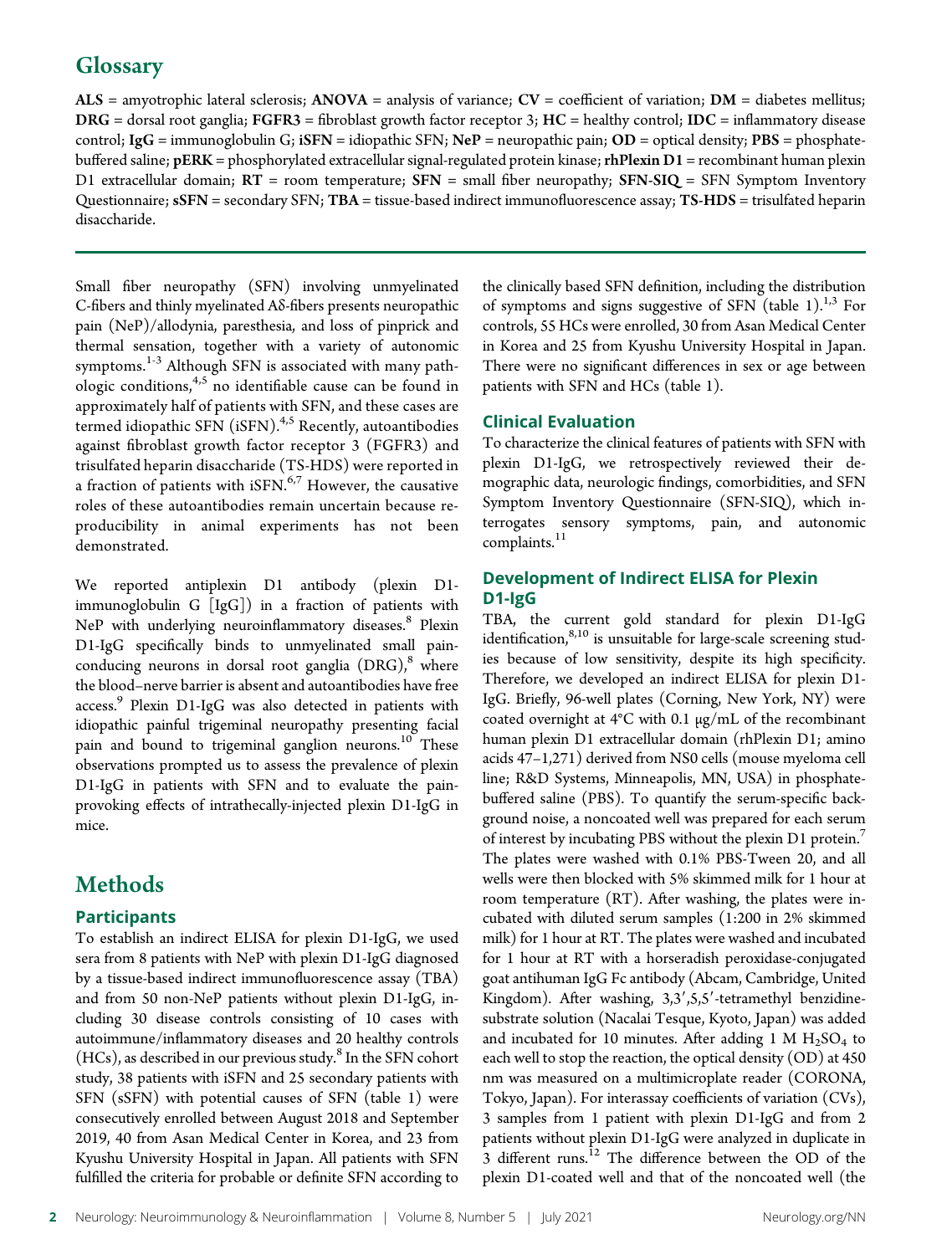# **Glossary**

ALS = amyotrophic lateral sclerosis; ANOVA = analysis of variance;  $CV =$  coefficient of variation;  $DM =$  diabetes mellitus;  $DRG =$  dorsal root ganglia;  $FGFR3 =$  fibroblast growth factor receptor 3;  $HC =$  healthy control;  $IDC =$  inflammatory disease control; IgG = immunoglobulin G; iSFN = idiopathic SFN; NeP = neuropathic pain; OD = optical density; PBS = phosphatebuffered saline; pERK = phosphorylated extracellular signal-regulated protein kinase; rhPlexin D1 = recombinant human plexin D1 extracellular domain;  $RT =$  room temperature;  $SFN =$  small fiber neuropathy;  $SFN-SIQ =$   $SFN$  Symptom Inventory Questionnaire;  $sSFN$  = secondary SFN; TBA = tissue-based indirect immunofluorescence assay; TS-HDS = trisulfated heparin disaccharide.

Small fiber neuropathy (SFN) involving unmyelinated C-fibers and thinly myelinated Aδ-fibers presents neuropathic pain (NeP)/allodynia, paresthesia, and loss of pinprick and thermal sensation, together with a variety of autonomic symptoms.<sup>1-3</sup> Although SFN is associated with many path- $\int$ ologic conditions,  $^{4,5}$  no identifiable cause can be found in approximately half of patients with SFN, and these cases are termed idiopathic SFN (iSFN).<sup>4,5</sup> Recently, autoantibodies against fibroblast growth factor receptor 3 (FGFR3) and trisulfated heparin disaccharide (TS-HDS) were reported in a fraction of patients with  $i$ SFN.<sup>6,7</sup> However, the causative roles of these autoantibodies remain uncertain because reproducibility in animal experiments has not been demonstrated.

We reported antiplexin D1 antibody (plexin D1 immunoglobulin G [IgG]) in a fraction of patients with NeP with underlying neuroinflammatory diseases.<sup>8</sup> Plexin D1-IgG specifically binds to unmyelinated small painconducing neurons in dorsal root ganglia  $(DRG)<sup>8</sup>$  where the blood–nerve barrier is absent and autoantibodies have free access.<sup>9</sup> Plexin D1-IgG was also detected in patients with idiopathic painful trigeminal neuropathy presenting facial pain and bound to trigeminal ganglion neurons.<sup>10</sup> These observations prompted us to assess the prevalence of plexin D1-IgG in patients with SFN and to evaluate the painprovoking effects of intrathecally-injected plexin D1-IgG in mice.

# **Methods**

#### **Participants**

To establish an indirect ELISA for plexin D1-IgG, we used sera from 8 patients with NeP with plexin D1-IgG diagnosed by a tissue-based indirect immunofluorescence assay (TBA) and from 50 non-NeP patients without plexin D1-IgG, including 30 disease controls consisting of 10 cases with autoimmune/inflammatory diseases and 20 healthy controls  $(HCs)$ , as described in our previous study.<sup>8</sup> In the SFN cohort study, 38 patients with iSFN and 25 secondary patients with SFN (sSFN) with potential causes of SFN (table 1) were consecutively enrolled between August 2018 and September 2019, 40 from Asan Medical Center in Korea, and 23 from Kyushu University Hospital in Japan. All patients with SFN fulfilled the criteria for probable or definite SFN according to

the clinically based SFN definition, including the distribution of symptoms and signs suggestive of SFN (table 1).<sup>1,3</sup> For controls, 55 HCs were enrolled, 30 from Asan Medical Center in Korea and 25 from Kyushu University Hospital in Japan. There were no significant differences in sex or age between patients with SFN and HCs (table 1).

#### Clinical Evaluation

To characterize the clinical features of patients with SFN with plexin D1-IgG, we retrospectively reviewed their demographic data, neurologic findings, comorbidities, and SFN Symptom Inventory Questionnaire (SFN-SIQ), which interrogates sensory symptoms, pain, and autonomic complaints.<sup>11</sup>

#### Development of Indirect ELISA for Plexin D1-IgG

TBA, the current gold standard for plexin D1-IgG identification, $8,10$  is unsuitable for large-scale screening studies because of low sensitivity, despite its high specificity. Therefore, we developed an indirect ELISA for plexin D1- IgG. Briefly, 96-well plates (Corning, New York, NY) were coated overnight at 4°C with 0.1 μg/mL of the recombinant human plexin D1 extracellular domain (rhPlexin D1; amino acids 47–1,271) derived from NS0 cells (mouse myeloma cell line; R&D Systems, Minneapolis, MN, USA) in phosphatebuffered saline (PBS). To quantify the serum-specific background noise, a noncoated well was prepared for each serum of interest by incubating PBS without the plexin D1 protein.<sup>7</sup> The plates were washed with 0.1% PBS-Tween 20, and all wells were then blocked with 5% skimmed milk for 1 hour at room temperature (RT). After washing, the plates were incubated with diluted serum samples (1:200 in 2% skimmed milk) for 1 hour at RT. The plates were washed and incubated for 1 hour at RT with a horseradish peroxidase-conjugated goat antihuman IgG Fc antibody (Abcam, Cambridge, United Kingdom). After washing,  $3,3',5,5'$ -tetramethyl benzidinesubstrate solution (Nacalai Tesque, Kyoto, Japan) was added and incubated for 10 minutes. After adding 1 M  $H<sub>2</sub>SO<sub>4</sub>$  to each well to stop the reaction, the optical density (OD) at 450 nm was measured on a multimicroplate reader (CORONA, Tokyo, Japan). For interassay coefficients of variation (CVs), 3 samples from 1 patient with plexin D1-IgG and from 2 patients without plexin D1-IgG were analyzed in duplicate in 3 different runs.<sup>12</sup> The difference between the OD of the plexin D1-coated well and that of the noncoated well (the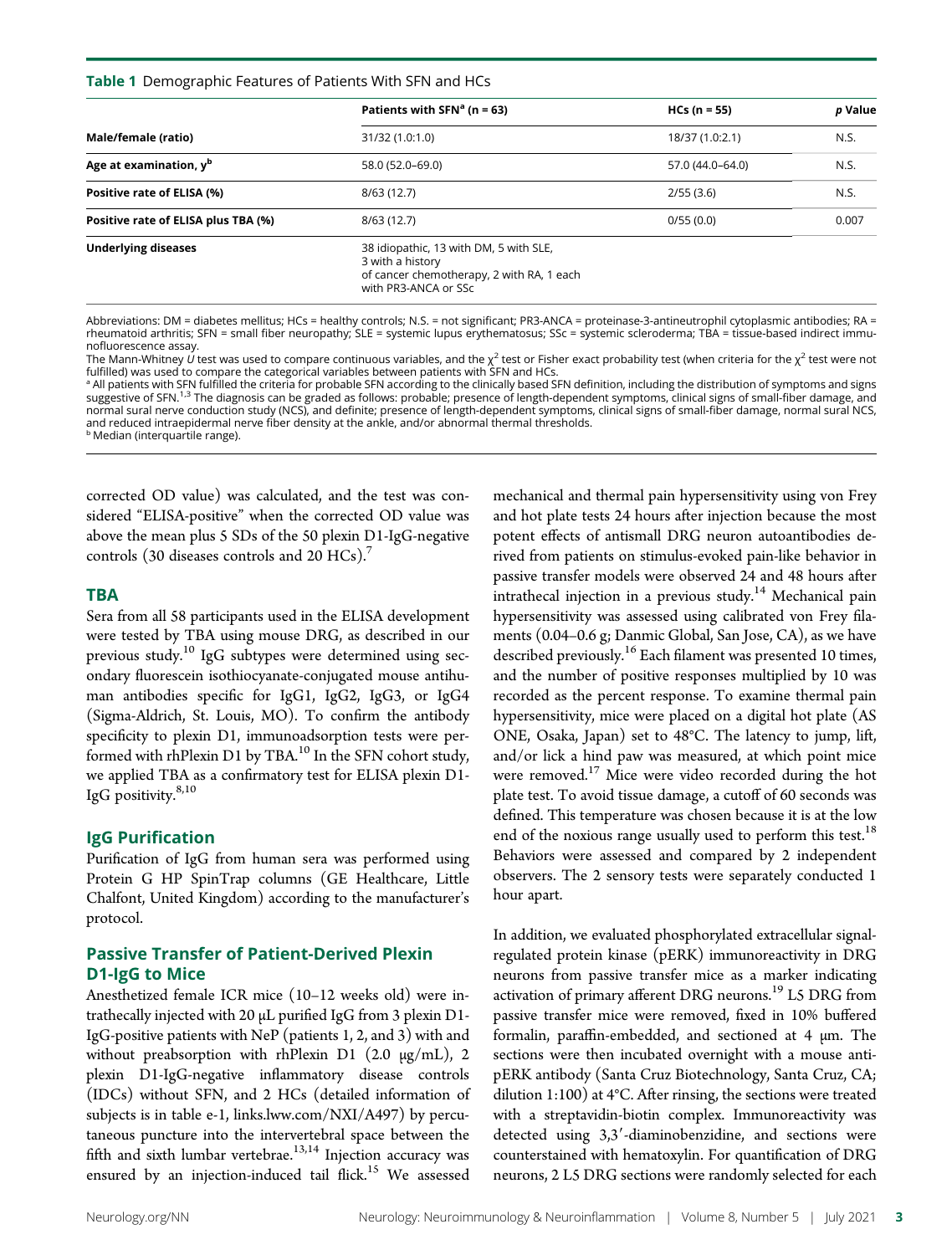#### Table 1 Demographic Features of Patients With SFN and HCs

|                                     | Patients with SFN <sup>a</sup> ( $n = 63$ )                                                                                     | $HCs (n = 55)$   | p Value |  |
|-------------------------------------|---------------------------------------------------------------------------------------------------------------------------------|------------------|---------|--|
| Male/female (ratio)                 | 31/32 (1.0:1.0)                                                                                                                 | 18/37 (1.0:2.1)  | N.S.    |  |
| Age at examination, y <sup>b</sup>  | 58.0 (52.0-69.0)                                                                                                                | 57.0 (44.0-64.0) | N.S.    |  |
| Positive rate of ELISA (%)          | 8/63(12.7)                                                                                                                      | 2/55(3.6)        | N.S.    |  |
| Positive rate of ELISA plus TBA (%) | 8/63(12.7)                                                                                                                      | 0/55(0.0)        | 0.007   |  |
| <b>Underlying diseases</b>          | 38 idiopathic, 13 with DM, 5 with SLE,<br>3 with a history<br>of cancer chemotherapy, 2 with RA, 1 each<br>with PR3-ANCA or SSc |                  |         |  |

Abbreviations: DM = diabetes mellitus; HCs = healthy controls; N.S. = not significant; PR3-ANCA = proteinase-3-antineutrophil cytoplasmic antibodies; RA = rheumatoid arthritis; SFN = small fiber neuropathy; SLE = systemic lupus erythematosus; SSc = systemic scleroderma; TBA = tissue-based indirect immunofluorescence assay.

The Mann-Whitney  $\acute{\nu}$  test was used to compare continuous variables, and the  $\chi^2$  test or Fisher exact probability test (when criteria for the  $\chi^2$  test were not fulfilled) was used to compare the categorical variables between patients with SFN and HCs.

a All patients with SFN fulfilled the criteria for probable SFN according to the clinically based SFN definition, including the distribution of symptoms and signs suggestive of SFN.<sup>1,3</sup> The diagnosis can be graded as follows: probable; presence of length-dependent symptoms, clinical signs of small-fiber damage, and normal sural nerve conduction study (NCS), and definite; presence of length-dependent symptoms, clinical signs of small-fiber damage, normal sural NCS, and reduced intraepidermal nerve fiber density at the ankle, and/or abnormal thermal thresholds. **b** Median (interquartile range).

corrected OD value) was calculated, and the test was considered "ELISA-positive" when the corrected OD value was above the mean plus 5 SDs of the 50 plexin D1-IgG-negative controls (30 diseases controls and 20 HCs).<sup>7</sup>

#### **TBA**

Sera from all 58 participants used in the ELISA development were tested by TBA using mouse DRG, as described in our previous study.<sup>10</sup> IgG subtypes were determined using secondary fluorescein isothiocyanate-conjugated mouse antihuman antibodies specific for IgG1, IgG2, IgG3, or IgG4 (Sigma-Aldrich, St. Louis, MO). To confirm the antibody specificity to plexin D1, immunoadsorption tests were performed with rhPlexin D1 by TBA.<sup>10</sup> In the SFN cohort study, we applied TBA as a confirmatory test for ELISA plexin D1- IgG positivity.<sup>8,10</sup>

#### IgG Purification

Purification of IgG from human sera was performed using Protein G HP SpinTrap columns (GE Healthcare, Little Chalfont, United Kingdom) according to the manufacturer's protocol.

#### Passive Transfer of Patient-Derived Plexin D1-IgG to Mice

Anesthetized female ICR mice (10–12 weeks old) were intrathecally injected with 20 μL purified IgG from 3 plexin D1- IgG-positive patients with NeP (patients 1, 2, and 3) with and without preabsorption with rhPlexin D1 (2.0 μg/mL), 2 plexin D1-IgG-negative inflammatory disease controls (IDCs) without SFN, and 2 HCs (detailed information of subjects is in table e-1, [links.lww.com/NXI/A497\)](http://links.lww.com/NXI/A497) by percutaneous puncture into the intervertebral space between the fifth and sixth lumbar vertebrae.<sup>13,14</sup> Injection accuracy was ensured by an injection-induced tail flick.<sup>15</sup> We assessed

mechanical and thermal pain hypersensitivity using von Frey and hot plate tests 24 hours after injection because the most potent effects of antismall DRG neuron autoantibodies derived from patients on stimulus-evoked pain-like behavior in passive transfer models were observed 24 and 48 hours after intrathecal injection in a previous study.<sup>14</sup> Mechanical pain hypersensitivity was assessed using calibrated von Frey filaments (0.04–0.6 g; Danmic Global, San Jose, CA), as we have described previously.<sup>16</sup> Each filament was presented 10 times, and the number of positive responses multiplied by 10 was recorded as the percent response. To examine thermal pain hypersensitivity, mice were placed on a digital hot plate (AS ONE, Osaka, Japan) set to 48°C. The latency to jump, lift, and/or lick a hind paw was measured, at which point mice were removed.<sup>17</sup> Mice were video recorded during the hot plate test. To avoid tissue damage, a cutoff of 60 seconds was defined. This temperature was chosen because it is at the low end of the noxious range usually used to perform this test.<sup>18</sup> Behaviors were assessed and compared by 2 independent observers. The 2 sensory tests were separately conducted 1 hour apart.

In addition, we evaluated phosphorylated extracellular signalregulated protein kinase (pERK) immunoreactivity in DRG neurons from passive transfer mice as a marker indicating activation of primary afferent DRG neurons.<sup>19</sup> L5 DRG from passive transfer mice were removed, fixed in 10% buffered formalin, paraffin-embedded, and sectioned at 4 μm. The sections were then incubated overnight with a mouse antipERK antibody (Santa Cruz Biotechnology, Santa Cruz, CA; dilution 1:100) at 4°C. After rinsing, the sections were treated with a streptavidin-biotin complex. Immunoreactivity was detected using  $3,3'$ -diaminobenzidine, and sections were counterstained with hematoxylin. For quantification of DRG neurons, 2 L5 DRG sections were randomly selected for each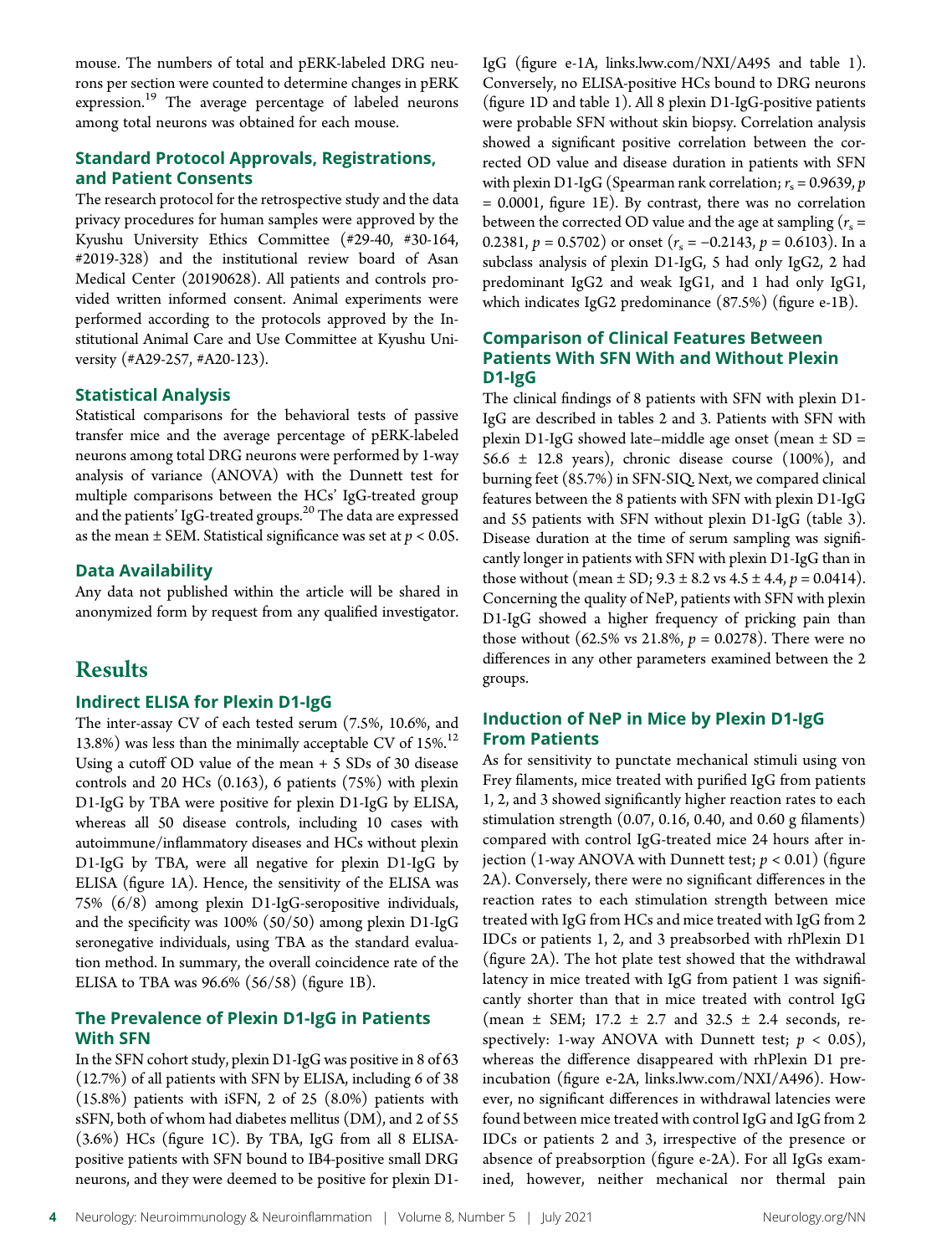mouse. The numbers of total and pERK-labeled DRG neurons per section were counted to determine changes in pERK expression.<sup>19</sup> The average percentage of labeled neurons among total neurons was obtained for each mouse.

#### Standard Protocol Approvals, Registrations, and Patient Consents

The research protocol for the retrospective study and the data privacy procedures for human samples were approved by the Kyushu University Ethics Committee (#29-40, #30-164, #2019-328) and the institutional review board of Asan Medical Center (20190628). All patients and controls provided written informed consent. Animal experiments were performed according to the protocols approved by the Institutional Animal Care and Use Committee at Kyushu University (#A29-257, #A20-123).

#### Statistical Analysis

Statistical comparisons for the behavioral tests of passive transfer mice and the average percentage of pERK-labeled neurons among total DRG neurons were performed by 1-way analysis of variance (ANOVA) with the Dunnett test for multiple comparisons between the HCs' IgG-treated group and the patients' IgG-treated groups.<sup>20</sup> The data are expressed as the mean  $\pm$  SEM. Statistical significance was set at  $p < 0.05$ .

#### Data Availability

Any data not published within the article will be shared in anonymized form by request from any qualified investigator.

### **Results**

#### Indirect ELISA for Plexin D1-IgG

The inter-assay CV of each tested serum (7.5%, 10.6%, and 13.8%) was less than the minimally acceptable CV of  $15\%$ .<sup>12</sup> Using a cutoff OD value of the mean + 5 SDs of 30 disease controls and 20 HCs (0.163), 6 patients (75%) with plexin D1-IgG by TBA were positive for plexin D1-IgG by ELISA, whereas all 50 disease controls, including 10 cases with autoimmune/inflammatory diseases and HCs without plexin D1-IgG by TBA, were all negative for plexin D1-IgG by ELISA (figure 1A). Hence, the sensitivity of the ELISA was 75% (6/8) among plexin D1-IgG-seropositive individuals, and the specificity was 100% (50/50) among plexin D1-IgG seronegative individuals, using TBA as the standard evaluation method. In summary, the overall coincidence rate of the ELISA to TBA was 96.6% (56/58) (figure 1B).

#### The Prevalence of Plexin D1-IgG in Patients With SFN

In the SFN cohort study, plexin D1-IgG was positive in 8 of 63 (12.7%) of all patients with SFN by ELISA, including 6 of 38 (15.8%) patients with iSFN, 2 of 25 (8.0%) patients with sSFN, both of whom had diabetes mellitus (DM), and 2 of 55 (3.6%) HCs (figure 1C). By TBA, IgG from all 8 ELISApositive patients with SFN bound to IB4-positive small DRG neurons, and they were deemed to be positive for plexin D1IgG (figure e-1A, [links.lww.com/NXI/A495](http://links.lww.com/NXI/A495) and table 1). Conversely, no ELISA-positive HCs bound to DRG neurons (figure 1D and table 1). All 8 plexin D1-IgG-positive patients were probable SFN without skin biopsy. Correlation analysis showed a significant positive correlation between the corrected OD value and disease duration in patients with SFN with plexin D1-IgG (Spearman rank correlation;  $r_s = 0.9639$ , p = 0.0001, figure 1E). By contrast, there was no correlation between the corrected OD value and the age at sampling ( $r_s$  = 0.2381,  $p = 0.5702$ ) or onset  $(r<sub>s</sub> = -0.2143, p = 0.6103)$ . In a subclass analysis of plexin D1-IgG, 5 had only IgG2, 2 had predominant IgG2 and weak IgG1, and 1 had only IgG1, which indicates IgG2 predominance (87.5%) (figure e-1B).

#### Comparison of Clinical Features Between Patients With SFN With and Without Plexin D1-IgG

The clinical findings of 8 patients with SFN with plexin D1- IgG are described in tables 2 and 3. Patients with SFN with plexin D1-IgG showed late–middle age onset (mean  $\pm$  SD = 56.6  $\pm$  12.8 years), chronic disease course (100%), and burning feet (85.7%) in SFN-SIQ. Next, we compared clinical features between the 8 patients with SFN with plexin D1-IgG and 55 patients with SFN without plexin D1-IgG (table 3). Disease duration at the time of serum sampling was significantly longer in patients with SFN with plexin D1-IgG than in those without (mean  $\pm$  SD; 9.3  $\pm$  8.2 vs 4.5  $\pm$  4.4, p = 0.0414). Concerning the quality of NeP, patients with SFN with plexin D1-IgG showed a higher frequency of pricking pain than those without (62.5% vs 21.8%,  $p = 0.0278$ ). There were no differences in any other parameters examined between the 2 groups.

#### Induction of NeP in Mice by Plexin D1-IgG From Patients

As for sensitivity to punctate mechanical stimuli using von Frey filaments, mice treated with purified IgG from patients 1, 2, and 3 showed significantly higher reaction rates to each stimulation strength (0.07, 0.16, 0.40, and 0.60 g filaments) compared with control IgG-treated mice 24 hours after injection (1-way ANOVA with Dunnett test;  $p < 0.01$ ) (figure 2A). Conversely, there were no significant differences in the reaction rates to each stimulation strength between mice treated with IgG from HCs and mice treated with IgG from 2 IDCs or patients 1, 2, and 3 preabsorbed with rhPlexin D1 (figure 2A). The hot plate test showed that the withdrawal latency in mice treated with IgG from patient 1 was significantly shorter than that in mice treated with control IgG (mean  $\pm$  SEM; 17.2  $\pm$  2.7 and 32.5  $\pm$  2.4 seconds, respectively: 1-way ANOVA with Dunnett test;  $p < 0.05$ ), whereas the difference disappeared with rhPlexin D1 preincubation (figure e-2A, [links.lww.com/NXI/A496\)](http://links.lww.com/NXI/A496). However, no significant differences in withdrawal latencies were found between mice treated with control IgG and IgG from 2 IDCs or patients 2 and 3, irrespective of the presence or absence of preabsorption (figure e-2A). For all IgGs examined, however, neither mechanical nor thermal pain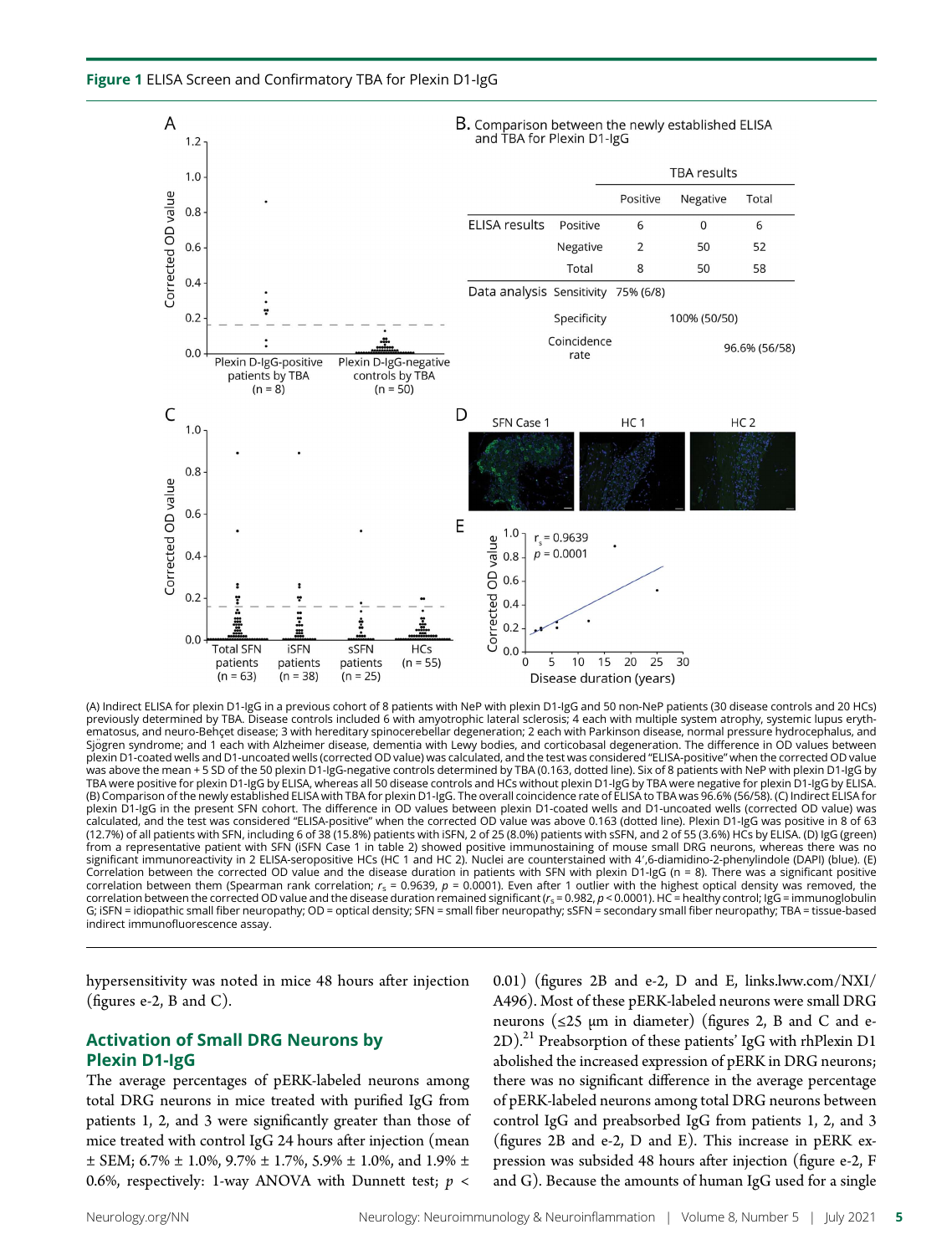



(A) Indirect ELISA for plexin D1-IgG in a previous cohort of 8 patients with NeP with plexin D1-IgG and 50 non-NeP patients (30 disease controls and 20 HCs) previously determined by TBA. Disease controls included 6 with amyotrophic lateral sclerosis; 4 each with multiple system atrophy, systemic lupus erythematosus, and neuro-Behçet disease; 3 with hereditary spinocerebellar degeneration; 2 each with Parkinson disease, normal pressure hydrocephalus, and Sjögren syndrome; and 1 each with Alzheimer disease, dementia with Lewy bodies, and corticobasal degeneration. The difference in OD values between plexin D1-coated wells and D1-uncoated wells (corrected OD value) was calculated, and the test was considered "ELISA-positive" when the corrected OD value was above the mean + 5 SD of the 50 plexin D1-IgG-negative controls determined by TBA (0.163, dotted line). Six of 8 patients with NeP with plexin D1-IgG by<br>TBA were positive for plexin D1-IgG by ELISA, whereas all 50 dise (B) Comparison of the newly established ELISA with TBA for plexin D1-IgG. The overall coincidence rate of ELISA to TBA was 96.6% (56/58). (C) Indirect ELISA for plexin D1-IgG in the present SFN cohort. The difference in OD values between plexin D1-coated wells and D1-uncoated wells (corrected OD value) was calculated, and the test was considered "ELISA-positive" when the corrected OD value was above 0.163 (dotted line). Plexin D1-IgG was positive in 8 of 63 (12.7%) of all patients with SFN, including 6 of 38 (15.8%) patients with iSFN, 2 of 25 (8.0%) patients with sSFN, and 2 of 55 (3.6%) HCs by ELISA. (D) IgG (green) from a representative patient with SFN (iSFN Case 1 in table 2) showed positive immunostaining of mouse small DRG neurons, whereas there was no significant immunoreactivity in 2 ELISA-seropositive HCs (HC 1 and HC 2). Nuclei are counterstained with 4',6-diamidino-2-phenylindole (DAPI) (blue). (E) Correlation between the corrected OD value and the disease duration in patients with SFN with plexin D1-IgG (n = 8). There was a significant positive correlation between them (Spearman rank correlation;  $r_s$  = 0.9639,  $p$  = 0.0001). Even after 1 outlier with the highest optical density was removed, the correlation between the corrected OD value and the disease duration remained significant ( $r_s$  = 0.982,  $p$  < 0.0001). HC = healthy control; IgG = immunoglobulin G; iSFN = idiopathic small fiber neuropathy; OD = optical density; SFN = small fiber neuropathy; sSFN = secondary small fiber neuropathy; TBA = tissue-based indirect immunofluorescence assay.

hypersensitivity was noted in mice 48 hours after injection (figures e-2, B and C).

#### Activation of Small DRG Neurons by Plexin D1-IgG

The average percentages of pERK-labeled neurons among total DRG neurons in mice treated with purified IgG from patients 1, 2, and 3 were significantly greater than those of mice treated with control IgG 24 hours after injection (mean  $\pm$  SEM; 6.7%  $\pm$  1.0%, 9.7%  $\pm$  1.7%, 5.9%  $\pm$  1.0%, and 1.9%  $\pm$ 0.6%, respectively: 1-way ANOVA with Dunnett test;  $p <$ 

0.01) (figures 2B and e-2, D and E, [links.lww.com/NXI/](http://links.lww.com/NXI/A496) [A496\)](http://links.lww.com/NXI/A496). Most of these pERK-labeled neurons were small DRG neurons ( $\leq$ 25  $\mu$ m in diameter) (figures 2, B and C and e- $(2D).^{21}$  Preabsorption of these patients' IgG with rhPlexin D1 abolished the increased expression of pERK in DRG neurons; there was no significant difference in the average percentage of pERK-labeled neurons among total DRG neurons between control IgG and preabsorbed IgG from patients 1, 2, and 3 (figures 2B and e-2, D and E). This increase in pERK expression was subsided 48 hours after injection (figure e-2, F and G). Because the amounts of human IgG used for a single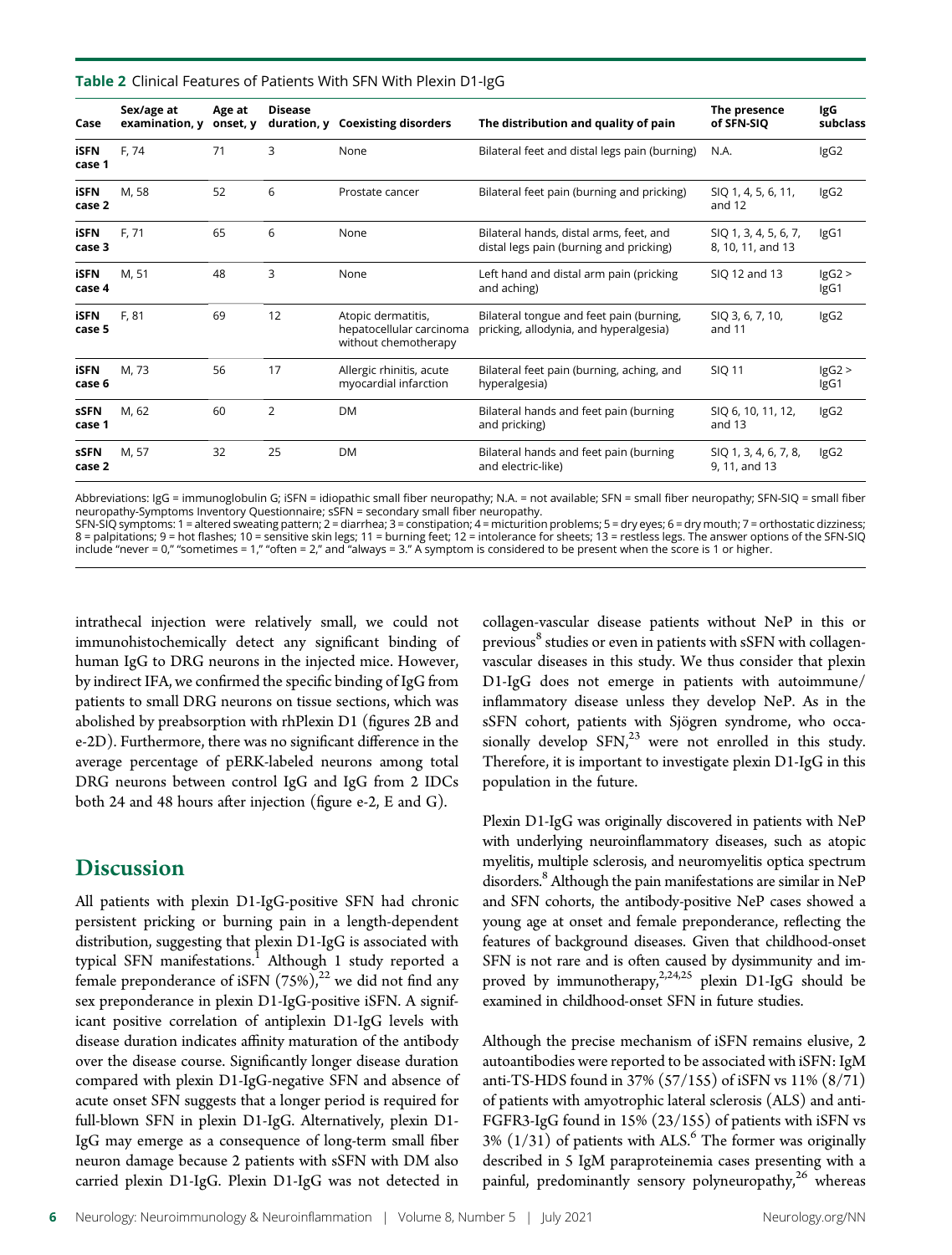Table 2 Clinical Features of Patients With SFN With Plexin D1-IgG

| Case                  | Sex/age at<br>examination, y | Age at<br>onset, y | <b>Disease</b> | duration, y Coexisting disorders                                       | The distribution and quality of pain                                               | The presence<br>of SFN-SIQ                 | IgG<br>subclass |
|-----------------------|------------------------------|--------------------|----------------|------------------------------------------------------------------------|------------------------------------------------------------------------------------|--------------------------------------------|-----------------|
| iSFN<br>case 1        | F, 74                        | 71                 | 3              | None                                                                   | Bilateral feet and distal legs pain (burning)                                      | N.A.                                       | IgG2            |
| iSFN<br>case 2        | M. 58                        | 52                 | 6              | Prostate cancer                                                        | Bilateral feet pain (burning and pricking)                                         | SIQ 1, 4, 5, 6, 11,<br>and 12              | IgG2            |
| iSFN<br>case 3        | F. 71                        | 65                 | 6              | None                                                                   | Bilateral hands, distal arms, feet, and<br>distal legs pain (burning and pricking) | SIQ 1, 3, 4, 5, 6, 7,<br>8, 10, 11, and 13 | IgG1            |
| <b>iSFN</b><br>case 4 | M. 51                        | 48                 | 3              | None                                                                   | Left hand and distal arm pain (pricking<br>and aching)                             | SIQ 12 and 13                              | lgG2<br>IgG1    |
| iSFN<br>case 5        | F. 81                        | 69                 | 12             | Atopic dermatitis,<br>hepatocellular carcinoma<br>without chemotherapy | Bilateral tongue and feet pain (burning,<br>pricking, allodynia, and hyperalgesia) | SIQ 3, 6, 7, 10,<br>and 11                 | IgG2            |
| <b>iSFN</b><br>case 6 | M. 73                        | 56                 | 17             | Allergic rhinitis, acute<br>myocardial infarction                      | Bilateral feet pain (burning, aching, and<br>hyperalgesia)                         | <b>SIQ 11</b>                              | lgG2<br>IgG1    |
| <b>SSFN</b><br>case 1 | M, 62                        | 60                 | $\overline{2}$ | <b>DM</b>                                                              | Bilateral hands and feet pain (burning<br>and pricking)                            | SIQ 6, 10, 11, 12,<br>and 13               | IgG2            |
| <b>sSFN</b><br>case 2 | M. 57                        | 32                 | 25             | <b>DM</b>                                                              | Bilateral hands and feet pain (burning<br>and electric-like)                       | SIQ 1, 3, 4, 6, 7, 8,<br>9, 11, and 13     | IgG2            |

Abbreviations: IgG = immunoglobulin G; iSFN = idiopathic small fiber neuropathy; N.A. = not available; SFN = small fiber neuropathy; SFN-SIQ = small fiber neuropathy-Symptoms Inventory Questionnaire; sSFN = secondary small fiber neuropathy.<br>SFN-SIQ symptoms: 1 = altered sweating pattern; 2 = diarrhea; 3 = constipation; 4 = micturition problems; 5 = dry eyes; 6 = dry mouth; 7

8 = palpitations; 9 = hot flashes; 10 = sensitive skin legs; 11 = burning feet; 12 = intolerance for sheets; 13 = restless legs. The answer options of the SFN-SIQ include "never = 0," "sometimes = 1," "often = 2," and "always = 3." A symptom is considered to be present when the score is 1 or higher.

intrathecal injection were relatively small, we could not immunohistochemically detect any significant binding of human IgG to DRG neurons in the injected mice. However, by indirect IFA, we confirmed the specific binding of IgG from patients to small DRG neurons on tissue sections, which was abolished by preabsorption with rhPlexin D1 (figures 2B and e-2D). Furthermore, there was no significant difference in the average percentage of pERK-labeled neurons among total DRG neurons between control IgG and IgG from 2 IDCs both 24 and 48 hours after injection (figure e-2, E and G).

## **Discussion**

All patients with plexin D1-IgG-positive SFN had chronic persistent pricking or burning pain in a length-dependent distribution, suggesting that plexin D1-IgG is associated with typical SFN manifestations.<sup>1</sup> Although 1 study reported a female preponderance of iSFN  $(75\%)$ ,<sup>22</sup> we did not find any sex preponderance in plexin D1-IgG-positive iSFN. A significant positive correlation of antiplexin D1-IgG levels with disease duration indicates affinity maturation of the antibody over the disease course. Significantly longer disease duration compared with plexin D1-IgG-negative SFN and absence of acute onset SFN suggests that a longer period is required for full-blown SFN in plexin D1-IgG. Alternatively, plexin D1- IgG may emerge as a consequence of long-term small fiber neuron damage because 2 patients with sSFN with DM also carried plexin D1-IgG. Plexin D1-IgG was not detected in

collagen-vascular disease patients without NeP in this or previous<sup>8</sup> studies or even in patients with sSFN with collagenvascular diseases in this study. We thus consider that plexin D1-IgG does not emerge in patients with autoimmune/ inflammatory disease unless they develop NeP. As in the sSFN cohort, patients with Sjögren syndrome, who occasionally develop  $SFN<sub>1</sub><sup>23</sup>$  were not enrolled in this study. Therefore, it is important to investigate plexin D1-IgG in this population in the future.

Plexin D1-IgG was originally discovered in patients with NeP with underlying neuroinflammatory diseases, such as atopic myelitis, multiple sclerosis, and neuromyelitis optica spectrum disorders.<sup>8</sup> Although the pain manifestations are similar in NeP and SFN cohorts, the antibody-positive NeP cases showed a young age at onset and female preponderance, reflecting the features of background diseases. Given that childhood-onset SFN is not rare and is often caused by dysimmunity and improved by immunotherapy,<sup>2,24,25</sup> plexin D1-IgG should be examined in childhood-onset SFN in future studies.

Although the precise mechanism of iSFN remains elusive, 2 autoantibodies were reported to be associated with iSFN: IgM anti-TS-HDS found in 37% (57/155) of iSFN vs 11% (8/71) of patients with amyotrophic lateral sclerosis (ALS) and anti-FGFR3-IgG found in 15% (23/155) of patients with iSFN vs  $3\%$  (1/31) of patients with ALS.<sup>6</sup> The former was originally described in 5 IgM paraproteinemia cases presenting with a painful, predominantly sensory polyneuropathy, $26$  whereas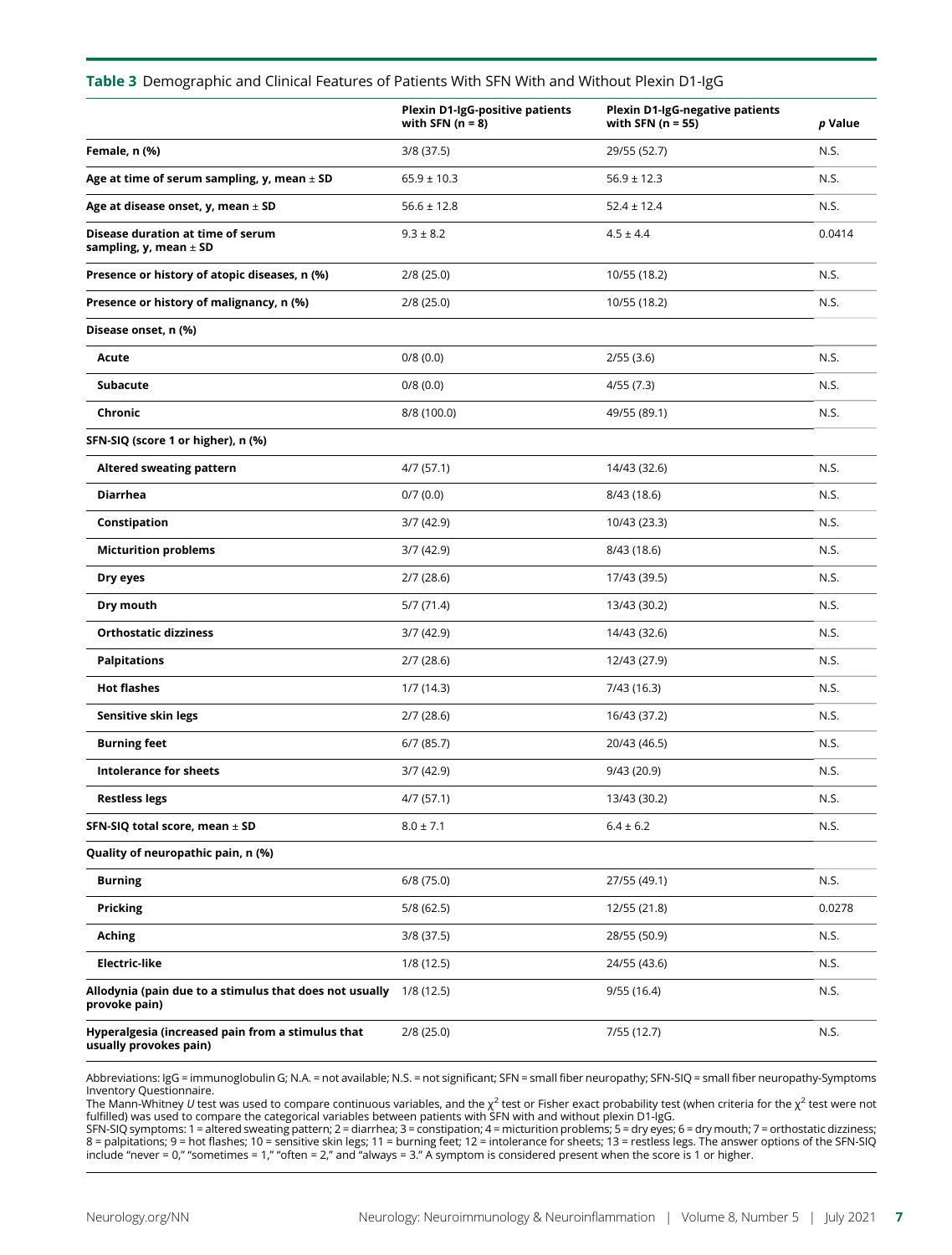#### Table 3 Demographic and Clinical Features of Patients With SFN With and Without Plexin D1-IgG

|                                                                             | <b>Plexin D1-IgG-positive patients</b><br>with SFN $(n = 8)$ | <b>Plexin D1-IgG-negative patients</b><br>with SFN $(n = 55)$ | p Value |
|-----------------------------------------------------------------------------|--------------------------------------------------------------|---------------------------------------------------------------|---------|
| Female, n (%)                                                               | $3/8$ (37.5)                                                 | 29/55 (52.7)                                                  | N.S.    |
| Age at time of serum sampling, y, mean $\pm$ SD                             | $65.9 \pm 10.3$                                              | $56.9 \pm 12.3$                                               | N.S.    |
| Age at disease onset, y, mean $\pm$ SD                                      | $56.6 \pm 12.8$                                              | $52.4 \pm 12.4$                                               | N.S.    |
| Disease duration at time of serum<br>sampling, y, mean $\pm$ SD             | $9.3 \pm 8.2$                                                | $4.5 \pm 4.4$                                                 | 0.0414  |
| Presence or history of atopic diseases, n (%)                               | 2/8(25.0)                                                    | 10/55 (18.2)                                                  | N.S.    |
| Presence or history of malignancy, n (%)                                    | 2/8(25.0)                                                    | 10/55 (18.2)                                                  | N.S.    |
| Disease onset, n (%)                                                        |                                                              |                                                               |         |
| Acute                                                                       | 0/8(0.0)                                                     | 2/55(3.6)                                                     | N.S.    |
| Subacute                                                                    | 0/8(0.0)                                                     | 4/55(7.3)                                                     | N.S.    |
| Chronic                                                                     | 8/8 (100.0)                                                  | 49/55 (89.1)                                                  | N.S.    |
| SFN-SIQ (score 1 or higher), n (%)                                          |                                                              |                                                               |         |
| <b>Altered sweating pattern</b>                                             | 4/7(57.1)                                                    | 14/43 (32.6)                                                  | N.S.    |
| <b>Diarrhea</b>                                                             | 0/7(0.0)                                                     | 8/43(18.6)                                                    | N.S.    |
| Constipation                                                                | 3/7(42.9)                                                    | 10/43 (23.3)                                                  | N.S.    |
| <b>Micturition problems</b>                                                 | 3/7(42.9)                                                    | 8/43 (18.6)                                                   | N.S.    |
| Dry eyes                                                                    | 2/7(28.6)                                                    | 17/43 (39.5)                                                  | N.S.    |
| Dry mouth                                                                   | 5/7(71.4)                                                    | 13/43 (30.2)                                                  | N.S.    |
| <b>Orthostatic dizziness</b>                                                | 3/7(42.9)                                                    | 14/43 (32.6)                                                  | N.S.    |
| <b>Palpitations</b>                                                         | 2/7(28.6)                                                    | 12/43 (27.9)                                                  | N.S.    |
| <b>Hot flashes</b>                                                          | 1/7(14.3)                                                    | 7/43 (16.3)                                                   | N.S.    |
| Sensitive skin legs                                                         | 2/7(28.6)                                                    | 16/43 (37.2)                                                  | N.S.    |
| <b>Burning feet</b>                                                         | 6/7(85.7)                                                    | 20/43 (46.5)                                                  | N.S.    |
| <b>Intolerance for sheets</b>                                               | 3/7(42.9)                                                    | 9/43 (20.9)                                                   | N.S.    |
| <b>Restless legs</b>                                                        | 4/7 (57.1)                                                   | 13/43 (30.2)                                                  | N.S.    |
| SFN-SIQ total score, mean $\pm$ SD                                          | $8.0 \pm 7.1$                                                | $6.4 \pm 6.2$                                                 | N.S.    |
| Quality of neuropathic pain, n (%)                                          |                                                              |                                                               |         |
| <b>Burning</b>                                                              | 6/8(75.0)                                                    | 27/55 (49.1)                                                  | N.S.    |
| <b>Pricking</b>                                                             | 5/8(62.5)                                                    | 12/55 (21.8)                                                  | 0.0278  |
| Aching                                                                      | $3/8$ (37.5)                                                 | 28/55 (50.9)                                                  | N.S.    |
| <b>Electric-like</b>                                                        | 1/8(12.5)                                                    | 24/55 (43.6)                                                  | N.S.    |
| Allodynia (pain due to a stimulus that does not usually<br>provoke pain)    | 1/8(12.5)                                                    | 9/55(16.4)                                                    | N.S.    |
| Hyperalgesia (increased pain from a stimulus that<br>usually provokes pain) | 2/8(25.0)                                                    | 7/55 (12.7)                                                   | N.S.    |

Abbreviations: IgG = immunoglobulin G; N.A. = not available; N.S. = not significant; SFN = small fiber neuropathy; SFN-SIQ = small fiber neuropathy-Symptoms Inventory Questionnaire.

The Mann-Whitney *U* test was used to compare continuous variables, and the  $\chi^2$  test or Fisher exact probability test (when criteria for the  $\chi^2$  test were not<br>fulfilled) was used to compare the categorical variables

SFN-SIQ symptoms: 1 = altered sweating pattern; 2 = diarrhea; 3 = constipation; 4 = micturition problems; 5 = dry eyes; 6 = dry mouth; 7 = orthostatic dizziness; 8 = palpitations; 9 = hot flashes; 10 = sensitive skin legs; 11 = burning feet; 12 = intolerance for sheets; 13 = restless legs. The answer options of the SFN-SIQ include "never = 0," "sometimes = 1," "often = 2," and "always = 3." A symptom is considered present when the score is 1 or higher.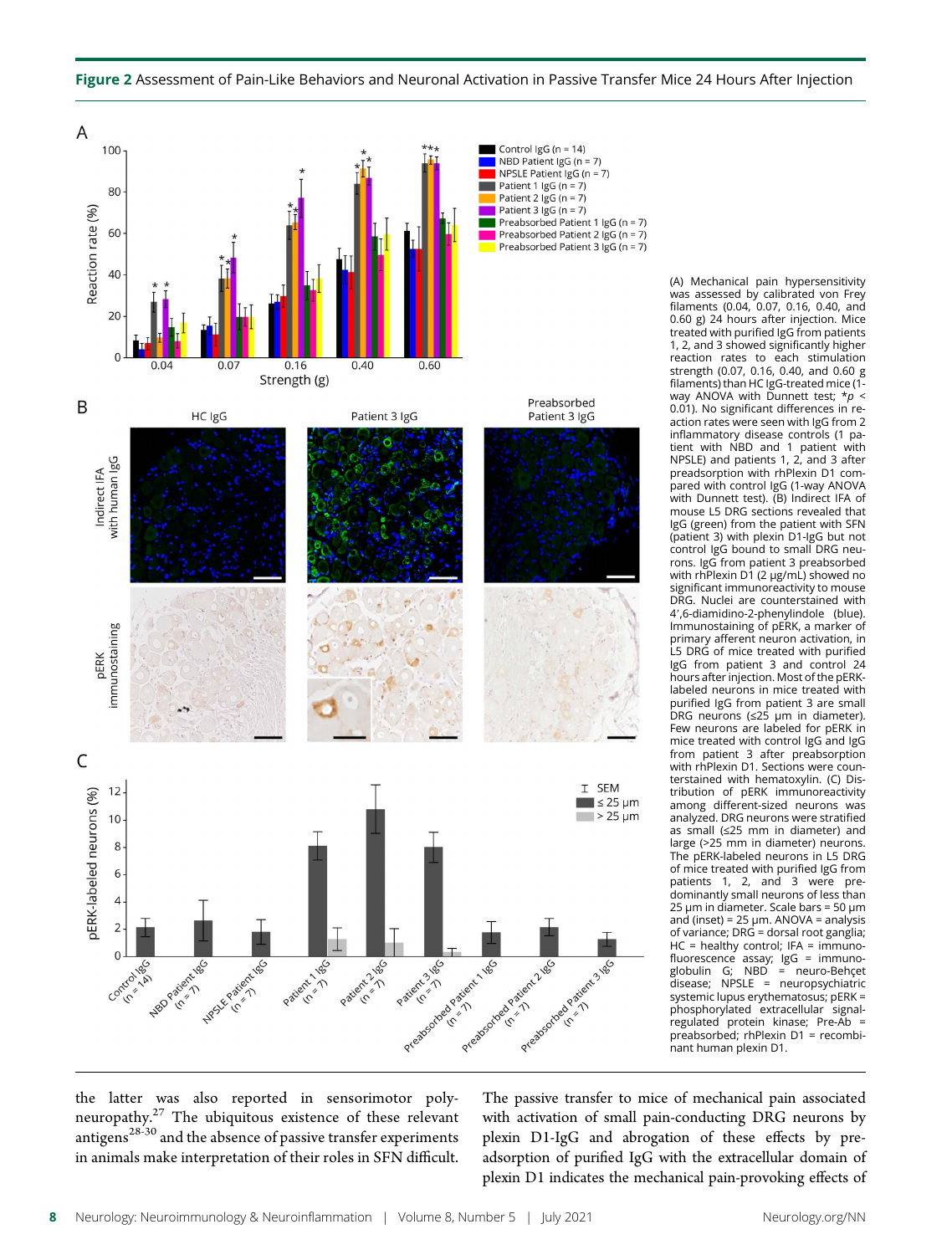

#### Figure 2 Assessment of Pain-Like Behaviors and Neuronal Activation in Passive Transfer Mice 24 Hours After Injection

was assessed by calibrated von Frey filaments (0.04, 0.07, 0.16, 0.40, and 0.60 g) 24 hours after injection. Mice treated with purified IgG from patients 1, 2, and 3 showed significantly higher reaction rates to each stimulation strength (0.07, 0.16, 0.40, and 0.60 g filaments) than HC IgG-treated mice (1 way ANOVA with Dunnett test;  $* p <$ 0.01). No significant differences in reaction rates were seen with IgG from 2 inflammatory disease controls (1 patient with NBD and 1 patient with NPSLE) and patients 1, 2, and 3 after preadsorption with rhPlexin D1 compared with control IgG (1-way ANOVA with Dunnett test). (B) Indirect IFA of mouse L5 DRG sections revealed that IgG (green) from the patient with SFN (patient 3) with plexin D1-IgG but not control IgG bound to small DRG neurons. IgG from patient 3 preabsorbed with rhPlexin D1 (2 μg/mL) showed no significant immunoreactivity to mouse DRG. Nuclei are counterstained with 4',6-diamidino-2-phenylindole (blue). Immunostaining of pERK, a marker of primary afferent neuron activation, in L5 DRG of mice treated with purified IgG from patient 3 and control 24 hours after injection. Most of the pERKlabeled neurons in mice treated with purified IgG from patient 3 are small DRG neurons (≤25 μm in diameter). Few neurons are labeled for pERK in mice treated with control IgG and IgG from patient 3 after preabsorption with rhPlexin D1. Sections were counterstained with hematoxylin. (C) Distribution of pERK immunoreactivity among different-sized neurons was analyzed. DRG neurons were stratified as small (≤25 mm in diameter) and large (>25 mm in diameter) neurons. The pERK-labeled neurons in L5 DRG of mice treated with purified IgG from patients 1, 2, and 3 were predominantly small neurons of less than 25 μm in diameter. Scale bars = 50 μm and (inset) =  $25 \mu m$ . ANOVA = analysis of variance; DRG = dorsal root ganglia;  $HC =$  healthy control; IFA = immunofluorescence assay; IgG = immuno-globulin G; NBD = neuro-Behçet disease; NPSLE = neuropsychiatric systemic lupus erythematosus; pERK = phosphorylated extracellular signalregulated protein kinase; Pre-Ab = preabsorbed; rhPlexin D1 = recombinant human plexin D1.

the latter was also reported in sensorimotor polyneuropathy.<sup>27</sup> The ubiquitous existence of these relevant antigens<sup>28-30</sup> and the absence of passive transfer experiments in animals make interpretation of their roles in SFN difficult.

The passive transfer to mice of mechanical pain associated with activation of small pain-conducting DRG neurons by plexin D1-IgG and abrogation of these effects by preadsorption of purified IgG with the extracellular domain of plexin D1 indicates the mechanical pain-provoking effects of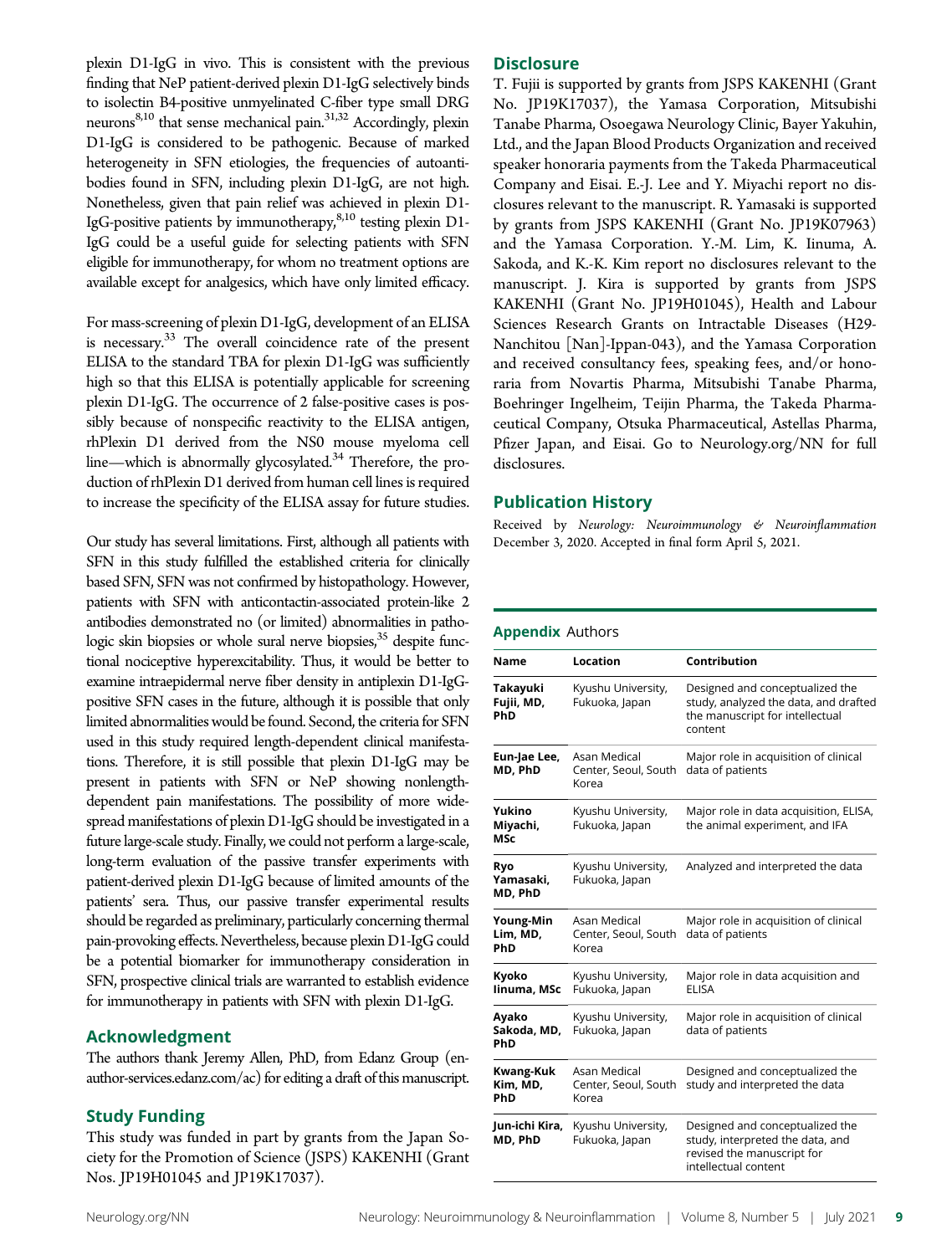plexin D1-IgG in vivo. This is consistent with the previous finding that NeP patient-derived plexin D1-IgG selectively binds to isolectin B4-positive unmyelinated C-fiber type small DRG neurons<sup>8,10</sup> that sense mechanical pain.<sup>31,32</sup> Accordingly, plexin D1-IgG is considered to be pathogenic. Because of marked heterogeneity in SFN etiologies, the frequencies of autoantibodies found in SFN, including plexin D1-IgG, are not high. Nonetheless, given that pain relief was achieved in plexin D1- IgG-positive patients by immunotherapy,  $8,10$  testing plexin D1-IgG could be a useful guide for selecting patients with SFN eligible for immunotherapy, for whom no treatment options are available except for analgesics, which have only limited efficacy.

For mass-screening of plexin D1-IgG, development of an ELISA is necessary.<sup>33</sup> The overall coincidence rate of the present ELISA to the standard TBA for plexin D1-IgG was sufficiently high so that this ELISA is potentially applicable for screening plexin D1-IgG. The occurrence of 2 false-positive cases is possibly because of nonspecific reactivity to the ELISA antigen, rhPlexin D1 derived from the NS0 mouse myeloma cell line—which is abnormally glycosylated. $34$  Therefore, the production of rhPlexin D1 derived from human cell lines is required to increase the specificity of the ELISA assay for future studies.

Our study has several limitations. First, although all patients with SFN in this study fulfilled the established criteria for clinically based SFN, SFN was not confirmed by histopathology. However, patients with SFN with anticontactin-associated protein-like 2 antibodies demonstrated no (or limited) abnormalities in pathologic skin biopsies or whole sural nerve biopsies,<sup>35</sup> despite functional nociceptive hyperexcitability. Thus, it would be better to examine intraepidermal nerve fiber density in antiplexin D1-IgGpositive SFN cases in the future, although it is possible that only limited abnormalities would be found. Second, the criteria for SFN used in this study required length-dependent clinical manifestations. Therefore, it is still possible that plexin D1-IgG may be present in patients with SFN or NeP showing nonlengthdependent pain manifestations. The possibility of more widespread manifestations of plexin D1-IgG should be investigated in a future large-scale study. Finally, we could not perform a large-scale, long-term evaluation of the passive transfer experiments with patient-derived plexin D1-IgG because of limited amounts of the patients' sera. Thus, our passive transfer experimental results should be regarded as preliminary, particularly concerning thermal pain-provoking effects. Nevertheless, because plexin D1-IgG could be a potential biomarker for immunotherapy consideration in SFN, prospective clinical trials are warranted to establish evidence for immunotherapy in patients with SFN with plexin D1-IgG.

#### Acknowledgment

The authors thank Jeremy Allen, PhD, from Edanz Group [\(en](https://en-author-services.edanz.com/ac)[author-services.edanz.com/ac](https://en-author-services.edanz.com/ac)) for editing a draft of this manuscript.

#### Study Funding

This study was funded in part by grants from the Japan Society for the Promotion of Science (JSPS) KAKENHI (Grant Nos. JP19H01045 and JP19K17037).

#### **Disclosure**

T. Fujii is supported by grants from JSPS KAKENHI (Grant No. JP19K17037), the Yamasa Corporation, Mitsubishi Tanabe Pharma, Osoegawa Neurology Clinic, Bayer Yakuhin, Ltd., and the Japan Blood Products Organization and received speaker honoraria payments from the Takeda Pharmaceutical Company and Eisai. E.-J. Lee and Y. Miyachi report no disclosures relevant to the manuscript. R. Yamasaki is supported by grants from JSPS KAKENHI (Grant No. JP19K07963) and the Yamasa Corporation. Y.-M. Lim, K. Iinuma, A. Sakoda, and K.-K. Kim report no disclosures relevant to the manuscript. J. Kira is supported by grants from JSPS KAKENHI (Grant No. JP19H01045), Health and Labour Sciences Research Grants on Intractable Diseases (H29- Nanchitou [Nan]-Ippan-043), and the Yamasa Corporation and received consultancy fees, speaking fees, and/or honoraria from Novartis Pharma, Mitsubishi Tanabe Pharma, Boehringer Ingelheim, Teijin Pharma, the Takeda Pharmaceutical Company, Otsuka Pharmaceutical, Astellas Pharma, Pfizer Japan, and Eisai. Go to [Neurology.org/NN](https://nn.neurology.org/content/8/4/e1028/tab-article-info) for full disclosures.

#### Publication History

Received by Neurology: Neuroimmunology & Neuroinflammation December 3, 2020. Accepted in final form April 5, 2021.

#### Appendix Authors

| Name                          | Location                                      | Contribution                                                                                                              |
|-------------------------------|-----------------------------------------------|---------------------------------------------------------------------------------------------------------------------------|
| Takayuki<br>Fujii, MD,<br>PhD | Kyushu University,<br>Fukuoka, Japan          | Designed and conceptualized the<br>study, analyzed the data, and drafted<br>the manuscript for intellectual<br>content    |
| Eun-Jae Lee,<br>MD, PhD       | Asan Medical<br>Center, Seoul, South<br>Korea | Major role in acquisition of clinical<br>data of patients                                                                 |
| Yukino<br>Miyachi,<br>MSc     | Kyushu University,<br>Fukuoka, Japan          | Major role in data acquisition, ELISA,<br>the animal experiment, and IFA                                                  |
| Ryo<br>Yamasaki.<br>MD, PhD   | Kyushu University,<br>Fukuoka, Japan          | Analyzed and interpreted the data                                                                                         |
| Young-Min<br>Lim, MD,<br>PhD  | Asan Medical<br>Center, Seoul, South<br>Korea | Major role in acquisition of clinical<br>data of patients                                                                 |
| Kyoko<br>linuma, MSc          | Kyushu University,<br>Fukuoka, Japan          | Major role in data acquisition and<br><b>FIISA</b>                                                                        |
| Ayako<br>Sakoda, MD,<br>PhD   | Kyushu University,<br>Fukuoka, Japan          | Major role in acquisition of clinical<br>data of patients                                                                 |
| Kwang-Kuk<br>Kim, MD,<br>PhD  | Asan Medical<br>Center, Seoul, South<br>Korea | Designed and conceptualized the<br>study and interpreted the data                                                         |
| Jun-ichi Kira,<br>MD, PhD     | Kyushu University,<br>Fukuoka, Japan          | Designed and conceptualized the<br>study, interpreted the data, and<br>revised the manuscript for<br>intellectual content |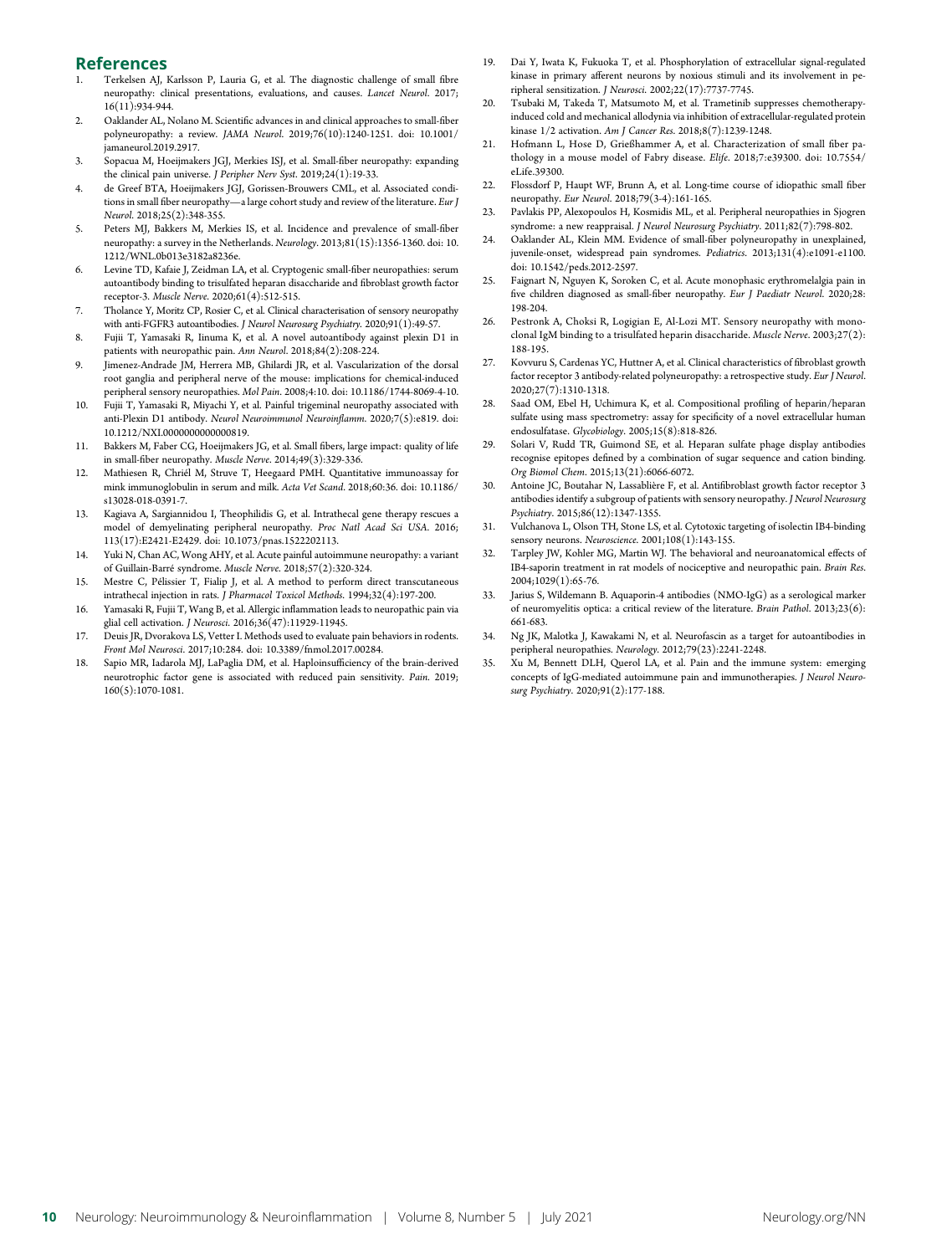#### References

- Terkelsen AJ, Karlsson P, Lauria G, et al. The diagnostic challenge of small fibre neuropathy: clinical presentations, evaluations, and causes. Lancet Neurol. 2017; 16(11):934-944.
- 2. Oaklander AL, Nolano M. Scientific advances in and clinical approaches to small-fiber polyneuropathy: a review. JAMA Neurol. 2019;76(10):1240-1251. [doi: 10.1001/](https://dx.doi.org/10.1001/jamaneurol.2019.2917) [jamaneurol.2019.2917](https://dx.doi.org/10.1001/jamaneurol.2019.2917).
- 3. Sopacua M, Hoeijmakers JGJ, Merkies ISJ, et al. Small-fiber neuropathy: expanding the clinical pain universe. J Peripher Nerv Syst. 2019;24(1):19-33.
- 4. de Greef BTA, Hoeijmakers JGJ, Gorissen-Brouwers CML, et al. Associated conditions in small fiber neuropathy—a large cohort study and review of the literature. Eur J Neurol. 2018;25(2):348-355.
- 5. Peters MJ, Bakkers M, Merkies IS, et al. Incidence and prevalence of small-fiber neuropathy: a survey in the Netherlands. Neurology. 2013;81(15):1356-1360. [doi: 10.](https://dx.doi.org/10.1212/WNL.0b013e3182a8236e) [1212/WNL.0b013e3182a8236e.](https://dx.doi.org/10.1212/WNL.0b013e3182a8236e)
- 6. Levine TD, Kafaie J, Zeidman LA, et al. Cryptogenic small-fiber neuropathies: serum autoantibody binding to trisulfated heparan disaccharide and fibroblast growth factor receptor-3. Muscle Nerve. 2020;61(4):512-515.
- 7. Tholance Y, Moritz CP, Rosier C, et al. Clinical characterisation of sensory neuropathy with anti-FGFR3 autoantibodies. J Neurol Neurosurg Psychiatry. 2020;91(1):49-57.
- 8. Fujii T, Yamasaki R, Iinuma K, et al. A novel autoantibody against plexin D1 in patients with neuropathic pain. Ann Neurol. 2018;84(2):208-224.
- Jimenez-Andrade JM, Herrera MB, Ghilardi JR, et al. Vascularization of the dorsal root ganglia and peripheral nerve of the mouse: implications for chemical-induced peripheral sensory neuropathies. Mol Pain. 2008;4:10. [doi: 10.1186/1744-8069-4-10.](https://dx.doi.org/10.1186/1744-8069-4-10)
- 10. Fujii T, Yamasaki R, Miyachi Y, et al. Painful trigeminal neuropathy associated with anti-Plexin D1 antibody. Neurol Neuroimmunol Neuroinflamm. 2020;7(5):e819. [doi:](https://nn.neurology.org/content/7/5/e819/tab-article-info) [10.1212/NXI.0000000000000819](https://nn.neurology.org/content/7/5/e819/tab-article-info).
- 11. Bakkers M, Faber CG, Hoeijmakers JG, et al. Small fibers, large impact: quality of life in small-fiber neuropathy. Muscle Nerve. 2014;49(3):329-336.
- 12. Mathiesen R, Chriél M, Struve T, Heegaard PMH. Quantitative immunoassay for mink immunoglobulin in serum and milk. Acta Vet Scand. 2018;60:36. [doi: 10.1186/](https://dx.doi.org/10.1186/s13028-018-0391-7) [s13028-018-0391-7.](https://dx.doi.org/10.1186/s13028-018-0391-7)
- 13. Kagiava A, Sargiannidou I, Theophilidis G, et al. Intrathecal gene therapy rescues a model of demyelinating peripheral neuropathy. Proc Natl Acad Sci USA. 2016; 113(17):E2421-E2429. [doi: 10.1073/pnas.1522202113](https://dx.doi.org/10.1073/pnas.1522202113).
- 14. Yuki N, Chan AC, Wong AHY, et al. Acute painful autoimmune neuropathy: a variant of Guillain-Barré syndrome. Muscle Nerve. 2018;57(2):320-324.
- 15. Mestre C, Pélissier T, Fialip J, et al. A method to perform direct transcutaneous intrathecal injection in rats. J Pharmacol Toxicol Methods. 1994;32(4):197-200.
- 16. Yamasaki R, Fujii T, Wang B, et al. Allergic inflammation leads to neuropathic pain via glial cell activation. J Neurosci. 2016;36(47):11929-11945.
- 17. Deuis JR, Dvorakova LS, Vetter I. Methods used to evaluate pain behaviors in rodents. Front Mol Neurosci. 2017;10:284. [doi: 10.3389/fnmol.2017.00284.](https://dx.doi.org/10.3389/fnmol.2017.00284)
- 18. Sapio MR, Iadarola MJ, LaPaglia DM, et al. Haploinsufficiency of the brain-derived neurotrophic factor gene is associated with reduced pain sensitivity. Pain. 2019; 160(5):1070-1081.
- 19. Dai Y, Iwata K, Fukuoka T, et al. Phosphorylation of extracellular signal-regulated kinase in primary afferent neurons by noxious stimuli and its involvement in peripheral sensitization. J Neurosci. 2002;22(17):7737-7745.
- 20. Tsubaki M, Takeda T, Matsumoto M, et al. Trametinib suppresses chemotherapyinduced cold and mechanical allodynia via inhibition of extracellular-regulated protein kinase 1/2 activation. Am J Cancer Res. 2018;8(7):1239-1248.
- 21. Hofmann L, Hose D, Grießhammer A, et al. Characterization of small fiber pathology in a mouse model of Fabry disease. Elife. 2018;7:e39300. [doi: 10.7554/](https://dx.doi.org/10.7554/eLife.39300) [eLife.39300.](https://dx.doi.org/10.7554/eLife.39300)
- 22. Flossdorf P, Haupt WF, Brunn A, et al. Long-time course of idiopathic small fiber neuropathy. Eur Neurol. 2018;79(3-4):161-165.
- 23. Pavlakis PP, Alexopoulos H, Kosmidis ML, et al. Peripheral neuropathies in Sjogren syndrome: a new reappraisal. J Neurol Neurosurg Psychiatry. 2011;82(7):798-802.
- 24. Oaklander AL, Klein MM. Evidence of small-fiber polyneuropathy in unexplained, juvenile-onset, widespread pain syndromes. Pediatrics. 2013;131(4):e1091-e1100. [doi: 10.1542/peds.2012-2597.](https://dx.doi.org/10.1542/peds.2012-2597)
- 25. Faignart N, Nguyen K, Soroken C, et al. Acute monophasic erythromelalgia pain in five children diagnosed as small-fiber neuropathy. Eur J Paediatr Neurol. 2020;28: 198-204.
- 26. Pestronk A, Choksi R, Logigian E, Al-Lozi MT. Sensory neuropathy with monoclonal IgM binding to a trisulfated heparin disaccharide. Muscle Nerve. 2003;27(2): 188-195.
- 27. Kovvuru S, Cardenas YC, Huttner A, et al. Clinical characteristics of fibroblast growth factor receptor 3 antibody-related polyneuropathy: a retrospective study. Eur J Neurol. 2020;27(7):1310-1318.
- 28. Saad OM, Ebel H, Uchimura K, et al. Compositional profiling of heparin/heparan sulfate using mass spectrometry: assay for specificity of a novel extracellular human endosulfatase. Glycobiology. 2005;15(8):818-826.
- 29. Solari V, Rudd TR, Guimond SE, et al. Heparan sulfate phage display antibodies recognise epitopes defined by a combination of sugar sequence and cation binding. Org Biomol Chem. 2015;13(21):6066-6072.
- 30. Antoine JC, Boutahar N, Lassablière F, et al. Antifibroblast growth factor receptor 3 antibodies identify a subgroup of patients with sensory neuropathy. J Neurol Neurosurg Psychiatry. 2015;86(12):1347-1355.
- 31. Vulchanova L, Olson TH, Stone LS, et al. Cytotoxic targeting of isolectin IB4-binding sensory neurons. Neuroscience. 2001;108(1):143-155.
- 32. Tarpley JW, Kohler MG, Martin WJ. The behavioral and neuroanatomical effects of IB4-saporin treatment in rat models of nociceptive and neuropathic pain. Brain Res. 2004;1029(1):65-76.
- 33. Jarius S, Wildemann B. Aquaporin-4 antibodies (NMO-IgG) as a serological marker of neuromyelitis optica: a critical review of the literature. Brain Pathol. 2013;23(6): 661-683.
- 34. Ng JK, Malotka J, Kawakami N, et al. Neurofascin as a target for autoantibodies in peripheral neuropathies. Neurology. 2012;79(23):2241-2248.
- 35. Xu M, Bennett DLH, Querol LA, et al. Pain and the immune system: emerging concepts of IgG-mediated autoimmune pain and immunotherapies. J Neurol Neurosurg Psychiatry. 2020;91(2):177-188.